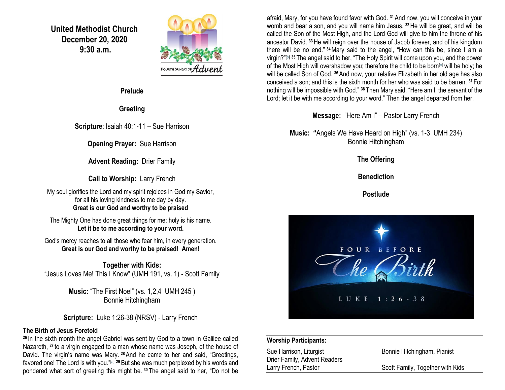**United Methodist Church December 20, 2020 9:30 a.m.**



**Prelude**

**Greeting**

**Scripture**: Isaiah 40:1-11 – Sue Harrison

**Opening Prayer:** Sue Harrison

**Advent Reading:** Drier Family

**Call to Worship:** Larry French

My soul glorifies the Lord and my spirit rejoices in God my Savior, for all his loving kindness to me day by day. **Great is our God and worthy to be praised**

The Mighty One has done great things for me; holy is his name. **Let it be to me according to your word.**

God's mercy reaches to all those who fear him, in every generation. **Great is our God and worthy to be praised! Amen!**

**Together with Kids:** "Jesus Loves Me! This I Know" (UMH 191, vs. 1) - Scott Family

> **Music:** "The First Noel" (vs. 1,2,4 UMH 245 ) Bonnie Hitchingham

**Scripture:** Luke 1:26-38 (NRSV) - Larry French

### **The Birth of Jesus Foretold**

**<sup>26</sup>** In the sixth month the angel Gabriel was sent by God to a town in Galilee called Nazareth, **<sup>27</sup>** to a virgin engaged to a man whose name was Joseph, of the house of David. The virgin's name was Mary. **<sup>28</sup>**And he came to her and said, "Greetings, favored one! The Lord is with you."[\[a\]](https://www.biblegateway.com/passage/?search=Luke+1%3A26-38&version=NRSV#fen-NRSV-24914a) **<sup>29</sup>**But she was much perplexed by his words and pondered what sort of greeting this might be. **<sup>30</sup>** The angel said to her, "Do not be afraid, Mary, for you have found favor with God. **<sup>31</sup>**And now, you will conceive in your womb and bear a son, and you will name him Jesus. **<sup>32</sup>**He will be great, and will be called the Son of the Most High, and the Lord God will give to him the throne of his ancestor David. **<sup>33</sup>**He will reign over the house of Jacob forever, and of his kingdom there will be no end." **<sup>34</sup>**Mary said to the angel, "How can this be, since I am a virgin?"<sup>b]</sup> <sup>35</sup> The angel said to her, "The Holy Spirit will come upon you, and the power of the Most High will overshadow you; therefore the child to be born<sup>[\[c\]](https://www.biblegateway.com/passage/?search=Luke+1%3A26-38&version=NRSV#fen-NRSV-24921c)</sup> will be holy; he will be called Son of God. **<sup>36</sup>**And now, your relative Elizabeth in her old age has also conceived a son; and this is the sixth month for her who was said to be barren. **<sup>37</sup>** For nothing will be impossible with God." **<sup>38</sup>** Then Mary said, "Here am I, the servant of the Lord; let it be with me according to your word." Then the angel departed from her.

**Message:** "Here Am I" – Pastor Larry French

**Music: "**Angels We Have Heard on High" (vs. 1-3 UMH 234) Bonnie Hitchingham

**The Offering**

**Benediction**

**Postlude**



#### **Worship Participants:**

Sue Harrison, Liturgist **Bonnie Hitchingham, Pianist** Drier Family, Advent Readers Larry French, Pastor Scott Family, Together with Kids